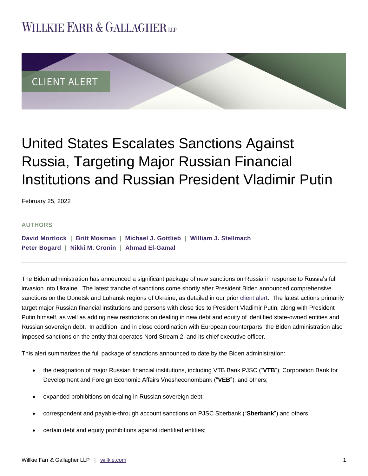## **WILLKIE FARR & GALLAGHERUP**



# United States Escalates Sanctions Against Russia, Targeting Major Russian Financial Institutions and Russian President Vladimir Putin

February 25, 2022

#### **AUTHORS**

**[David Mortlock](https://www.willkie.com/professionals/m/mortlock-david) | [Britt Mosman](https://www.willkie.com/professionals/m/mosman-britt) | [Michael J. Gottlieb](https://www.willkie.com/professionals/g/gottlieb-michael) | [William J. Stellmach](https://www.willkie.com/professionals/s/stellmach-william) [Peter Bogard](https://www.willkie.com/professionals/b/bogard-peter) | [Nikki M. Cronin](https://www.willkie.com/professionals/c/cronin-nikki) | [Ahmad El-Gamal](https://www.willkie.com/professionals/e/el-gamal-ahmad)** 

The Biden administration has announced a significant package of new sanctions on Russia in response to Russia's full invasion into Ukraine. The latest tranche of sanctions come shortly after President Biden announced comprehensive sanctions on the Donetsk and Luhansk regions of Ukraine, as detailed in our prior [client alert.](https://www.willkie.com/-/media/files/publications/2022/infirstresponsetorussianinterventioninukrainepresi.pdf) The latest actions primarily target major Russian financial institutions and persons with close ties to President Vladimir Putin, along with President Putin himself, as well as adding new restrictions on dealing in new debt and equity of identified state-owned entities and Russian sovereign debt. In addition, and in close coordination with European counterparts, the Biden administration also imposed sanctions on the entity that operates Nord Stream 2, and its chief executive officer.

This alert summarizes the full package of sanctions announced to date by the Biden administration:

- the designation of major Russian financial institutions, including VTB Bank PJSC ("**VTB**"), Corporation Bank for Development and Foreign Economic Affairs Vnesheconombank ("**VEB**"), and others;
- expanded prohibitions on dealing in Russian sovereign debt;
- correspondent and payable-through account sanctions on PJSC Sberbank ("**Sberbank**") and others;
- certain debt and equity prohibitions against identified entities;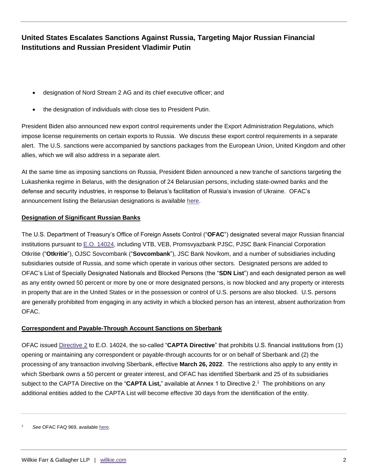- designation of Nord Stream 2 AG and its chief executive officer; and
- the designation of individuals with close ties to President Putin.

President Biden also announced new export control requirements under the Export Administration Regulations, which impose license requirements on certain exports to Russia. We discuss these export control requirements in a separate alert. The U.S. sanctions were accompanied by sanctions packages from the European Union, United Kingdom and other allies, which we will also address in a separate alert.

At the same time as imposing sanctions on Russia, President Biden announced a new tranche of sanctions targeting the Lukashenka regime in Belarus, with the designation of 24 Belarusian persons, including state-owned banks and the defense and security industries, in response to Belarus's facilitation of Russia's invasion of Ukraine. OFAC's announcement listing the Belarusian designations is available [here.](https://home.treasury.gov/news/press-releases/jy0607)

#### **Designation of Significant Russian Banks**

The U.S. Department of Treasury's Office of Foreign Assets Control ("**OFAC**") designated several major Russian financial institutions pursuant to [E.O. 14024,](https://home.treasury.gov/system/files/126/14024.pdf) including VTB, VEB, Promsvyazbank PJSC, PJSC Bank Financial Corporation Otkritie ("**Otkritie**"), OJSC Sovcombank ("**Sovcombank**"), JSC Bank Novikom, and a number of subsidiaries including subsidiaries outside of Russia, and some which operate in various other sectors. Designated persons are added to OFAC's List of Specially Designated Nationals and Blocked Persons (the "**SDN List**") and each designated person as well as any entity owned 50 percent or more by one or more designated persons, is now blocked and any property or interests in property that are in the United States or in the possession or control of U.S. persons are also blocked. U.S. persons are generally prohibited from engaging in any activity in which a blocked person has an interest, absent authorization from OFAC.

#### **Correspondent and Payable-Through Account Sanctions on Sberbank**

OFAC issued [Directive 2](https://home.treasury.gov/system/files/126/correspondent_accounts_directive_2.pdf) to E.O. 14024, the so-called "**CAPTA Directive**" that prohibits U.S. financial institutions from (1) opening or maintaining any correspondent or payable-through accounts for or on behalf of Sberbank and (2) the processing of any transaction involving Sberbank, effective **March 26, 2022**. The restrictions also apply to any entity in which Sberbank owns a 50 percent or greater interest, and OFAC has identified Sberbank and 25 of its subsidiaries subject to the CAPTA Directive on the "**CAPTA List,**" available at Annex 1 to Directive 2.<sup>1</sup> The prohibitions on any additional entities added to the CAPTA List will become effective 30 days from the identification of the entity.

See OFAC FAQ 969, available [here.](https://home.treasury.gov/policy-issues/financial-sanctions/faqs/969)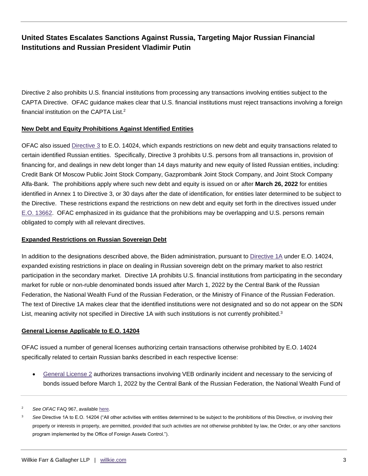Directive 2 also prohibits U.S. financial institutions from processing any transactions involving entities subject to the CAPTA Directive. OFAC guidance makes clear that U.S. financial institutions must reject transactions involving a foreign financial institution on the CAPTA List.<sup>2</sup>

#### **New Debt and Equity Prohibitions Against Identified Entities**

OFAC also issued [Directive 3](https://home.treasury.gov/system/files/126/new_debt_and_equity_directive_3.pdf) to E.O. 14024, which expands restrictions on new debt and equity transactions related to certain identified Russian entities. Specifically, Directive 3 prohibits U.S. persons from all transactions in, provision of financing for, and dealings in new debt longer than 14 days maturity and new equity of listed Russian entities, including: Credit Bank Of Moscow Public Joint Stock Company, Gazprombank Joint Stock Company, and Joint Stock Company Alfa-Bank. The prohibitions apply where such new debt and equity is issued on or after **March 26, 2022** for entities identified in Annex 1 to Directive 3, or 30 days after the date of identification, for entities later determined to be subject to the Directive. These restrictions expand the restrictions on new debt and equity set forth in the directives issued under [E.O. 13662.](https://home.treasury.gov/system/files/126/ukraine_eo3.pdf) OFAC emphasized in its guidance that the prohibitions may be overlapping and U.S. persons remain obligated to comply with all relevant directives.

#### **Expanded Restrictions on Russian Sovereign Debt**

In addition to the designations described above, the Biden administration, pursuant to [Directive 1A](https://home.treasury.gov/system/files/126/russia_directive_1a.pdf) under E.O. 14024, expanded existing restrictions in place on dealing in Russian sovereign debt on the primary market to also restrict participation in the secondary market. Directive 1A prohibits U.S. financial institutions from participating in the secondary market for ruble or non-ruble denominated bonds issued after March 1, 2022 by the Central Bank of the Russian Federation, the National Wealth Fund of the Russian Federation, or the Ministry of Finance of the Russian Federation. The text of Directive 1A makes clear that the identified institutions were not designated and so do not appear on the SDN List, meaning activity not specified in Directive 1A with such institutions is not currently prohibited.<sup>3</sup>

#### **General License Applicable to E.O. 14204**

OFAC issued a number of general licenses authorizing certain transactions otherwise prohibited by E.O. 14024 specifically related to certain Russian banks described in each respective license:

 [General License 2](https://home.treasury.gov/system/files/126/russia_gl2.pdf) authorizes transactions involving VEB ordinarily incident and necessary to the servicing of bonds issued before March 1, 2022 by the Central Bank of the Russian Federation, the National Wealth Fund of

<sup>2</sup> *See OFAC* FAQ 967, available [here](https://home.treasury.gov/policy-issues/financial-sanctions/faqs/967)*.* 

<sup>&</sup>lt;sup>3</sup> See Directive 1A to E.O. 14204 ("All other activities with entities determined to be subject to the prohibitions of this Directive, or involving their property or interests in property, are permitted, provided that such activities are not otherwise prohibited by law, the Order, or any other sanctions program implemented by the Office of Foreign Assets Control.").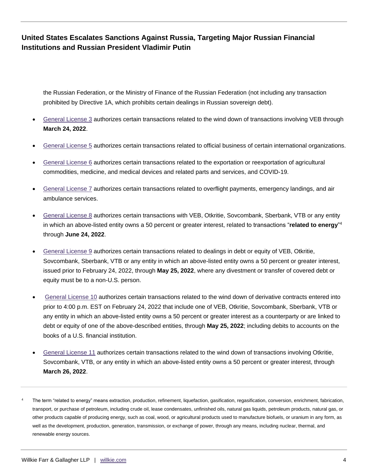the Russian Federation, or the Ministry of Finance of the Russian Federation (not including any transaction prohibited by Directive 1A, which prohibits certain dealings in Russian sovereign debt).

- [General License 3](https://home.treasury.gov/system/files/126/russia_gl3.pdf) authorizes certain transactions related to the wind down of transactions involving VEB through **March 24, 2022**.
- [General License 5](https://home.treasury.gov/system/files/126/russia_gl5.pdf) authorizes certain transactions related to official business of certain international organizations.
- [General License 6](https://home.treasury.gov/system/files/126/russia_gl6.pdf) authorizes certain transactions related to the exportation or reexportation of agricultural commodities, medicine, and medical devices and related parts and services, and COVID-19.
- [General License 7](https://home.treasury.gov/system/files/126/russia_gl7.pdf) authorizes certain transactions related to overflight payments, emergency landings, and air ambulance services.
- [General License 8](https://home.treasury.gov/system/files/126/russia_gl8.pdf) authorizes certain transactions with VEB, Otkritie, Sovcombank, Sberbank, VTB or any entity in which an above-listed entity owns a 50 percent or greater interest, related to transactions "**related to energy**" 4 through **June 24, 2022**.
- [General License 9](https://home.treasury.gov/system/files/126/russia_gl9.pdf) authorizes certain transactions related to dealings in debt or equity of VEB, Otkritie, Sovcombank, Sberbank, VTB or any entity in which an above-listed entity owns a 50 percent or greater interest, issued prior to February 24, 2022, through **May 25, 2022**, where any divestment or transfer of covered debt or equity must be to a non-U.S. person.
- [General License 10](https://home.treasury.gov/system/files/126/russia_gl10.pdf) authorizes certain transactions related to the wind down of derivative contracts entered into prior to 4:00 p.m. EST on February 24, 2022 that include one of VEB, Otkritie, Sovcombank, Sberbank, VTB or any entity in which an above-listed entity owns a 50 percent or greater interest as a counterparty or are linked to debt or equity of one of the above-described entities, through **May 25, 2022**; including debits to accounts on the books of a U.S. financial institution.
- [General License 11](https://home.treasury.gov/system/files/126/russia_gl11.pdf) authorizes certain transactions related to the wind down of transactions involving Otkritie, Sovcombank, VTB, or any entity in which an above-listed entity owns a 50 percent or greater interest, through **March 26, 2022**.
- The term "related to energy" means extraction, production, refinement, liquefaction, gasification, regasification, conversion, enrichment, fabrication, transport, or purchase of petroleum, including crude oil, lease condensates, unfinished oils, natural gas liquids, petroleum products, natural gas, or other products capable of producing energy, such as coal, wood, or agricultural products used to manufacture biofuels, or uranium in any form, as well as the development, production, generation, transmission, or exchange of power, through any means, including nuclear, thermal, and renewable energy sources.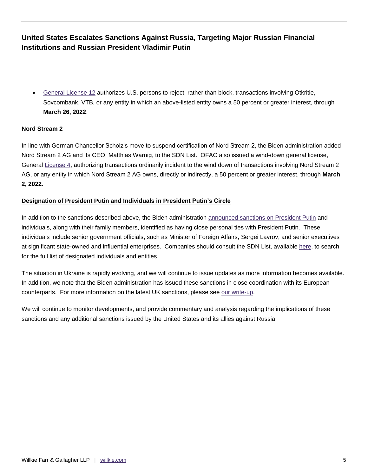[General License 12](https://home.treasury.gov/system/files/126/russia_gl12.pdf) authorizes U.S. persons to reject, rather than block, transactions involving Otkritie, Sovcombank, VTB, or any entity in which an above-listed entity owns a 50 percent or greater interest, through **March 26, 2022**.

#### **Nord Stream 2**

In line with German Chancellor Scholz's move to suspend certification of Nord Stream 2, the Biden administration added Nord Stream 2 AG and its CEO, Matthias Warnig, to the SDN List. OFAC also issued a wind-down general license, General [License 4,](https://home.treasury.gov/system/files/126/peesa_gl4.pdf) authorizing transactions ordinarily incident to the wind down of transactions involving Nord Stream 2 AG, or any entity in which Nord Stream 2 AG owns, directly or indirectly, a 50 percent or greater interest, through **March 2, 2022**.

#### **Designation of President Putin and Individuals in President Putin's Circle**

In addition to the sanctions described above, the Biden administratio[n announced sanctions on](https://home.treasury.gov/news/press-releases/jy0610) President Putin and individuals, along with their family members, identified as having close personal ties with President Putin. These individuals include senior government officials, such as Minister of Foreign Affairs, Sergei Lavrov, and senior executives at significant state-owned and influential enterprises. Companies should consult the SDN List, available [here,](https://sanctionssearch.ofac.treas.gov/) to search for the full list of designated individuals and entities.

The situation in Ukraine is rapidly evolving, and we will continue to issue updates as more information becomes available. In addition, we note that the Biden administration has issued these sanctions in close coordination with its European counterparts. For more information on the latest UK sanctions, please see [our write-up.](https://communications.willkie.com/110/1590/uploads-(icalendars-pdf-documents)/uk-issues-first-tranche-of-russian-sanctions.pdf)

We will continue to monitor developments, and provide commentary and analysis regarding the implications of these sanctions and any additional sanctions issued by the United States and its allies against Russia.